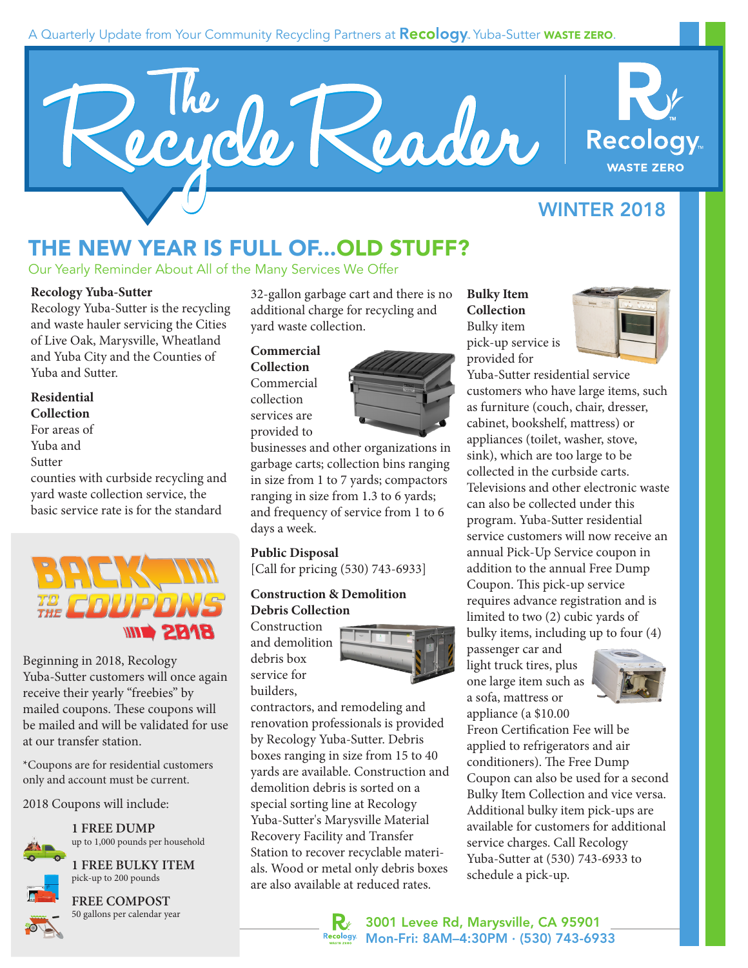### A Quarterly Update from Your Community Recycling Partners at **Recology**. Yuba-Sutter **WASTE ZERO.**





### WINTER 2018

# THE NEW YEAR IS FULL OF...OLD STUFF?

Our Yearly Reminder About All of the Many Services We Offer

#### **Recology Yuba-Sutter**

Recology Yuba-Sutter is the recycling and waste hauler servicing the Cities of Live Oak, Marysville, Wheatland and Yuba City and the Counties of Yuba and Sutter.

### **Residential**

**Collection**

- For areas of
- Yuba and
- Sutter

counties with curbside recycling and yard waste collection service, the basic service rate is for the standard



Beginning in 2018, Recology Yuba-Sutter customers will once again receive their yearly "freebies" by mailed coupons. These coupons will be mailed and will be validated for use at our transfer station.

\*Coupons are for residential customers only and account must be current.

2018 Coupons will include:

**1 FREE DUMP** up to 1,000 pounds per household

**1 FREE BULKY ITEM** pick-up to 200 pounds



**FREE COMPOST** 50 gallons per calendar year 32-gallon garbage cart and there is no additional charge for recycling and yard waste collection.

#### **Commercial Collection** Commercial collection services are provided to



businesses and other organizations in garbage carts; collection bins ranging in size from 1 to 7 yards; compactors ranging in size from 1.3 to 6 yards; and frequency of service from 1 to 6 days a week.

### **Public Disposal**

[Call for pricing (530) 743-6933]

#### **Construction & Demolition Debris Collection**

Construction and demolition debris box service for builders,



contractors, and remodeling and renovation professionals is provided by Recology Yuba-Sutter. Debris boxes ranging in size from 15 to 40 yards are available. Construction and demolition debris is sorted on a special sorting line at Recology Yuba-Sutter's Marysville Material Recovery Facility and Transfer Station to recover recyclable materials. Wood or metal only debris boxes are also available at reduced rates.

**Bulky Item Collection** Bulky item pick-up service is provided for



Yuba-Sutter residential service customers who have large items, such as furniture (couch, chair, dresser, cabinet, bookshelf, mattress) or appliances (toilet, washer, stove, sink), which are too large to be collected in the curbside carts. Televisions and other electronic waste can also be collected under this program. Yuba-Sutter residential service customers will now receive an annual Pick-Up Service coupon in addition to the annual Free Dump Coupon. This pick-up service requires advance registration and is limited to two (2) cubic yards of bulky items, including up to four (4) passenger car and

light truck tires, plus one large item such as a sofa, mattress or



appliance (a \$10.00 Freon Certification Fee will be applied to refrigerators and air conditioners). The Free Dump Coupon can also be used for a second Bulky Item Collection and vice versa. Additional bulky item pick-ups are available for customers for additional service charges. Call Recology Yuba-Sutter at (530) 743-6933 to schedule a pick-up.